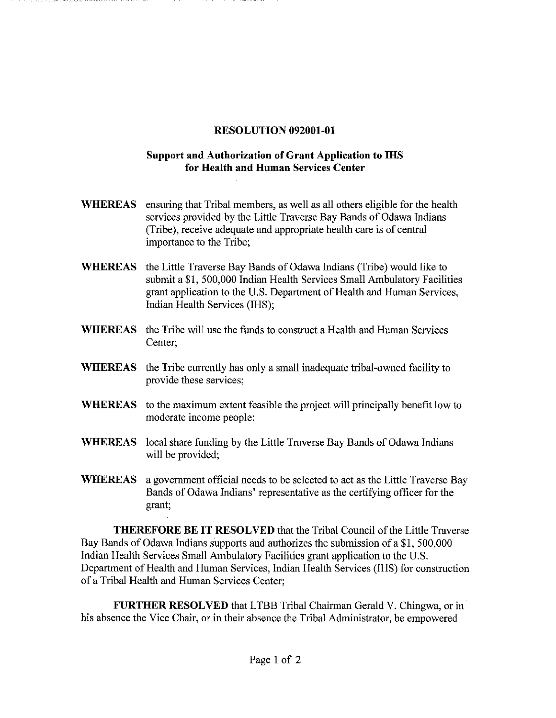## **RESOLUTION 092001-01**

## **Support and Authorization of Grant Application to IHS for Health and Human Services Center**

- **WHEREAS**  ensuring that Tribal members, as well as all others eligible for the health services provided by the Little Traverse Bay Bands of Odawa Indians (Tribe), receive adequate and appropriate health care is of central importance to the Tribe;
- **WHEREAS**  the Little Traverse Bay Bands of Odawa Indians (Tribe) would like to submit a \$1, 500,000 Indian Health Services Small Ambulatory Facilities grant application to the U.S. Department of Health and Human Services, Indian Health Services (IHS);
- **WHEREAS**  the Tribe will use the funds to construct a Health and Human Services Center;
- **WHEREAS**  the Tribe currently has only a small inadequate tribal-owned facility to provide these services;
- **WHEREAS** to the maximum extent feasible the project will principally benefit low to moderate income people;
- **WHEREAS** local share funding by the Little Traverse Bay Bands of Odawa Indians will be provided;
- **WHEREAS** a government official needs to be selected to act as the Little Traverse Bay Bands of Odawa Indians' representative as the certifying officer for the grant;

**THEREFORE BE IT RESOLVED** that the Tribal Council of the Little Traverse Bay Bands of Odawa Indians supports and authorizes the submission of a **\$1,** 500,000 Indian Health Services Small Ambulatory Facilities grant application to the U.S. Department of Health and Human Services, Indian Health Services (IHS) for construction of a Tribal Health and Human Services Center;

**FURTHER RESOLVED** that LTBB Tribal Chairman Gerald V. Chingwa, or in his absence the Vice Chair, or in their absence the Tribal Administrator, be empowered